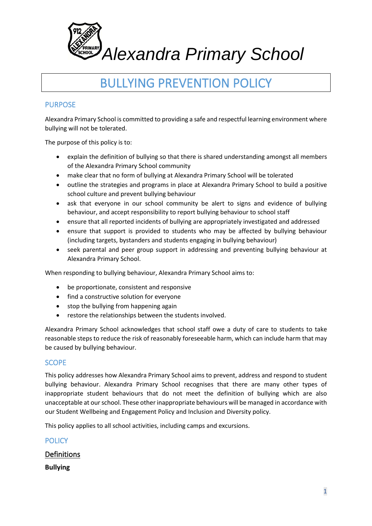

# BULLYING PREVENTION POLICY

# PURPOSE

Alexandra Primary School is committed to providing a safe and respectful learning environment where bullying will not be tolerated.

The purpose of this policy is to:

- explain the definition of bullying so that there is shared understanding amongst all members of the Alexandra Primary School community
- make clear that no form of bullying at Alexandra Primary School will be tolerated
- outline the strategies and programs in place at Alexandra Primary School to build a positive school culture and prevent bullying behaviour
- ask that everyone in our school community be alert to signs and evidence of bullying behaviour, and accept responsibility to report bullying behaviour to school staff
- ensure that all reported incidents of bullying are appropriately investigated and addressed
- ensure that support is provided to students who may be affected by bullying behaviour (including targets, bystanders and students engaging in bullying behaviour)
- seek parental and peer group support in addressing and preventing bullying behaviour at Alexandra Primary School.

When responding to bullying behaviour, Alexandra Primary School aims to:

- be proportionate, consistent and responsive
- find a constructive solution for everyone
- stop the bullying from happening again
- restore the relationships between the students involved.

Alexandra Primary School acknowledges that school staff owe a duty of care to students to take reasonable steps to reduce the risk of reasonably foreseeable harm, which can include harm that may be caused by bullying behaviour.

## **SCOPE**

This policy addresses how Alexandra Primary School aims to prevent, address and respond to student bullying behaviour. Alexandra Primary School recognises that there are many other types of inappropriate student behaviours that do not meet the definition of bullying which are also unacceptable at our school. These other inappropriate behaviours will be managed in accordance with our Student Wellbeing and Engagement Policy and Inclusion and Diversity policy.

This policy applies to all school activities, including camps and excursions.

## **POLICY**

## Definitions

**Bullying**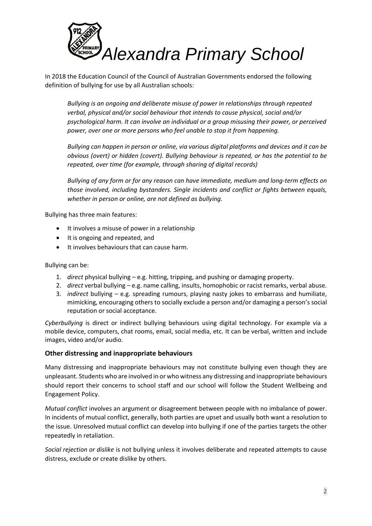

In 2018 the Education Council of the Council of Australian Governments endorsed the following definition of bullying for use by all Australian schools:

*Bullying is an ongoing and deliberate misuse of power in relationships through repeated verbal, physical and/or social behaviour that intends to cause physical, social and/or psychological harm. It can involve an individual or a group misusing their power, or perceived power, over one or more persons who feel unable to stop it from happening.*

*Bullying can happen in person or online, via various digital platforms and devices and it can be obvious (overt) or hidden (covert). Bullying behaviour is repeated, or has the potential to be repeated, over time (for example, through sharing of digital records)*

*Bullying of any form or for any reason can have immediate, medium and long-term effects on those involved, including bystanders. Single incidents and conflict or fights between equals, whether in person or online, are not defined as bullying.*

Bullying has three main features:

- It involves a misuse of power in a relationship
- It is ongoing and repeated, and
- It involves behaviours that can cause harm.

Bullying can be:

- 1. *direct* physical bullying e.g. hitting, tripping, and pushing or damaging property.
- 2. *direct* verbal bullying e.g. name calling, insults, homophobic or racist remarks, verbal abuse.
- 3. *indirect* bullying e.g. spreading rumours, playing nasty jokes to embarrass and humiliate, mimicking, encouraging others to socially exclude a person and/or damaging a person's social reputation or social acceptance.

*Cyberbullying* is direct or indirect bullying behaviours using digital technology. For example via a mobile device, computers, chat rooms, email, social media, etc. It can be verbal, written and include images, video and/or audio.

#### **Other distressing and inappropriate behaviours**

Many distressing and inappropriate behaviours may not constitute bullying even though they are unpleasant. Students who are involved in or who witness any distressing and inappropriate behaviours should report their concerns to school staff and our school will follow the Student Wellbeing and Engagement Policy.

*Mutual conflict* involves an argument or disagreement between people with no imbalance of power. In incidents of mutual conflict, generally, both parties are upset and usually both want a resolution to the issue. Unresolved mutual conflict can develop into bullying if one of the parties targets the other repeatedly in retaliation.

*Social rejection or dislike* is not bullying unless it involves deliberate and repeated attempts to cause distress, exclude or create dislike by others.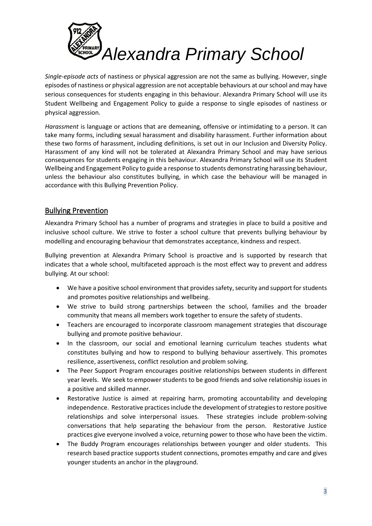

*Single-episode acts* of nastiness or physical aggression are not the same as bullying. However, single episodes of nastiness or physical aggression are not acceptable behaviours at our school and may have serious consequences for students engaging in this behaviour. Alexandra Primary School will use its Student Wellbeing and Engagement Policy to guide a response to single episodes of nastiness or physical aggression.

*Harassment* is language or actions that are demeaning, offensive or intimidating to a person. It can take many forms, including sexual harassment and disability harassment. Further information about these two forms of harassment, including definitions, is set out in our Inclusion and Diversity Policy. Harassment of any kind will not be tolerated at Alexandra Primary School and may have serious consequences for students engaging in this behaviour. Alexandra Primary School will use its Student Wellbeing and Engagement Policy to guide a response to students demonstrating harassing behaviour, unless the behaviour also constitutes bullying, in which case the behaviour will be managed in accordance with this Bullying Prevention Policy.

# Bullying Prevention

Alexandra Primary School has a number of programs and strategies in place to build a positive and inclusive school culture. We strive to foster a school culture that prevents bullying behaviour by modelling and encouraging behaviour that demonstrates acceptance, kindness and respect.

Bullying prevention at Alexandra Primary School is proactive and is supported by research that indicates that a whole school, multifaceted approach is the most effect way to prevent and address bullying. At our school:

- We have a positive school environment that provides safety, security and support for students and promotes positive relationships and wellbeing.
- We strive to build strong partnerships between the school, families and the broader community that means all members work together to ensure the safety of students.
- Teachers are encouraged to incorporate classroom management strategies that discourage bullying and promote positive behaviour.
- In the classroom, our social and emotional learning curriculum teaches students what constitutes bullying and how to respond to bullying behaviour assertively. This promotes resilience, assertiveness, conflict resolution and problem solving.
- The Peer Support Program encourages positive relationships between students in different year levels. We seek to empower students to be good friends and solve relationship issues in a positive and skilled manner.
- Restorative Justice is aimed at repairing harm, promoting accountability and developing independence. Restorative practices include the development of strategies to restore positive relationships and solve interpersonal issues. These strategies include problem-solving conversations that help separating the behaviour from the person. Restorative Justice practices give everyone involved a voice, returning power to those who have been the victim.
- The Buddy Program encourages relationships between younger and older students. This research based practice supports student connections, promotes empathy and care and gives younger students an anchor in the playground.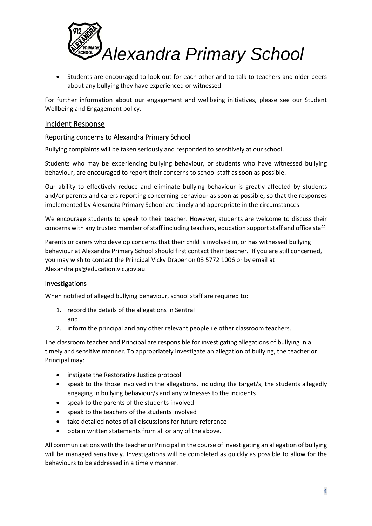

• Students are encouraged to look out for each other and to talk to teachers and older peers about any bullying they have experienced or witnessed.

For further information about our engagement and wellbeing initiatives, please see our Student Wellbeing and Engagement policy.

### Incident Response

#### Reporting concerns to Alexandra Primary School

Bullying complaints will be taken seriously and responded to sensitively at our school.

Students who may be experiencing bullying behaviour, or students who have witnessed bullying behaviour, are encouraged to report their concerns to school staff as soon as possible.

Our ability to effectively reduce and eliminate bullying behaviour is greatly affected by students and/or parents and carers reporting concerning behaviour as soon as possible, so that the responses implemented by Alexandra Primary School are timely and appropriate in the circumstances.

We encourage students to speak to their teacher. However, students are welcome to discuss their concerns with any trusted member of staff including teachers, education support staff and office staff.

Parents or carers who develop concerns that their child is involved in, or has witnessed bullying behaviour at Alexandra Primary School should first contact their teacher. If you are still concerned, you may wish to contact the Principal Vicky Draper on 03 5772 1006 or by email at [Alexandra.ps@education.vic.gov.au.](mailto:Alexandra.ps@education.vic.gov.au)

#### Investigations

When notified of alleged bullying behaviour, school staff are required to:

- 1. record the details of the allegations in Sentral and
- 2. inform the principal and any other relevant people i.e other classroom teachers.

The classroom teacher and Principal are responsible for investigating allegations of bullying in a timely and sensitive manner. To appropriately investigate an allegation of bullying, the teacher or Principal may:

- instigate the Restorative Justice protocol
- speak to the those involved in the allegations, including the target/s, the students allegedly engaging in bullying behaviour/s and any witnesses to the incidents
- speak to the parents of the students involved
- speak to the teachers of the students involved
- take detailed notes of all discussions for future reference
- obtain written statements from all or any of the above.

All communications with the teacher or Principal in the course of investigating an allegation of bullying will be managed sensitively. Investigations will be completed as quickly as possible to allow for the behaviours to be addressed in a timely manner.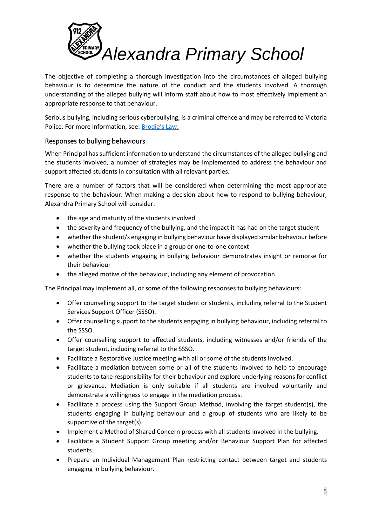

The objective of completing a thorough investigation into the circumstances of alleged bullying behaviour is to determine the nature of the conduct and the students involved. A thorough understanding of the alleged bullying will inform staff about how to most effectively implement an appropriate response to that behaviour.

Serious bullying, including serious cyberbullying, is a criminal offence and may be referred to Victoria Police. For more information, see: [Brodie's Law.](http://www.education.vic.gov.au/about/programs/bullystoppers/Pages/advicesheetbrodieslaw.aspx)

## Responses to bullying behaviours

When Principal has sufficient information to understand the circumstances of the alleged bullying and the students involved, a number of strategies may be implemented to address the behaviour and support affected students in consultation with all relevant parties.

There are a number of factors that will be considered when determining the most appropriate response to the behaviour. When making a decision about how to respond to bullying behaviour, Alexandra Primary School will consider:

- the age and maturity of the students involved
- the severity and frequency of the bullying, and the impact it has had on the target student
- whether the student/s engaging in bullying behaviour have displayed similar behaviour before
- whether the bullying took place in a group or one-to-one context
- whether the students engaging in bullying behaviour demonstrates insight or remorse for their behaviour
- the alleged motive of the behaviour, including any element of provocation.

The Principal may implement all, or some of the following responses to bullying behaviours:

- Offer counselling support to the target student or students, including referral to the Student Services Support Officer (SSSO).
- Offer counselling support to the students engaging in bullying behaviour, including referral to the SSSO.
- Offer counselling support to affected students, including witnesses and/or friends of the target student, including referral to the SSSO.
- Facilitate a Restorative Justice meeting with all or some of the students involved.
- Facilitate a mediation between some or all of the students involved to help to encourage students to take responsibility for their behaviour and explore underlying reasons for conflict or grievance. Mediation is only suitable if all students are involved voluntarily and demonstrate a willingness to engage in the mediation process.
- Facilitate a process using the Support Group Method, involving the target student(s), the students engaging in bullying behaviour and a group of students who are likely to be supportive of the target(s).
- Implement a Method of Shared Concern process with all students involved in the bullying.
- Facilitate a Student Support Group meeting and/or Behaviour Support Plan for affected students.
- Prepare an Individual Management Plan restricting contact between target and students engaging in bullying behaviour.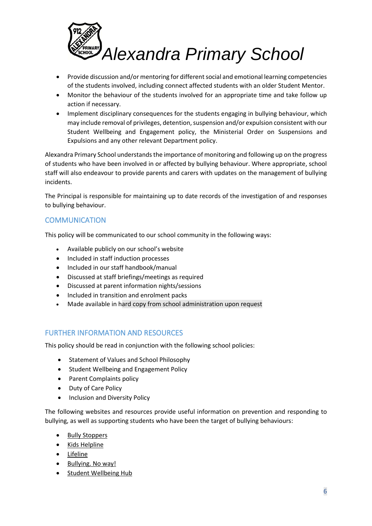

- Provide discussion and/or mentoring for different social and emotional learning competencies of the students involved, including connect affected students with an older Student Mentor.
- Monitor the behaviour of the students involved for an appropriate time and take follow up action if necessary.
- Implement disciplinary consequences for the students engaging in bullying behaviour, which may include removal of privileges, detention, suspension and/or expulsion consistent with our Student Wellbeing and Engagement policy, the Ministerial Order on Suspensions and Expulsions and any other relevant Department policy.

Alexandra Primary School understands the importance of monitoring and following up on the progress of students who have been involved in or affected by bullying behaviour. Where appropriate, school staff will also endeavour to provide parents and carers with updates on the management of bullying incidents.

The Principal is responsible for maintaining up to date records of the investigation of and responses to bullying behaviour.

# **COMMUNICATION**

This policy will be communicated to our school community in the following ways:

- Available publicly on our school's website
- Included in staff induction processes
- Included in our staff handbook/manual
- Discussed at staff briefings/meetings as required
- Discussed at parent information nights/sessions
- Included in transition and enrolment packs
- Made available in hard copy from school administration upon request

# FURTHER INFORMATION AND RESOURCES

This policy should be read in conjunction with the following school policies:

- Statement of Values and School Philosophy
- Student Wellbeing and Engagement Policy
- Parent Complaints policy
- Duty of Care Policy
- Inclusion and Diversity Policy

The following websites and resources provide useful information on prevention and responding to bullying, as well as supporting students who have been the target of bullying behaviours:

- [Bully Stoppers](https://www.education.vic.gov.au/about/programs/bullystoppers/Pages/default.aspx)
- Kids [Helpline](https://kidshelpline.com.au/)
- [Lifeline](https://www.lifeline.org.au/)
- [Bullying. No way!](https://bullyingnoway.gov.au/)
- [Student Wellbeing Hub](https://www.studentwellbeinghub.edu.au/)